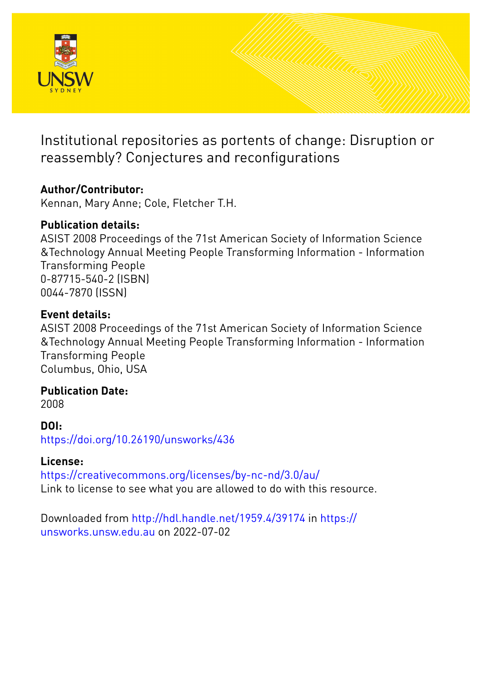

Institutional repositories as portents of change: Disruption or reassembly? Conjectures and reconfigurations

# **Author/Contributor:**

Kennan, Mary Anne; Cole, Fletcher T.H.

## **Publication details:**

ASIST 2008 Proceedings of the 71st American Society of Information Science &Technology Annual Meeting People Transforming Information - Information Transforming People 0-87715-540-2 (ISBN) 0044-7870 (ISSN)

## **Event details:**

ASIST 2008 Proceedings of the 71st American Society of Information Science &Technology Annual Meeting People Transforming Information - Information Transforming People Columbus, Ohio, USA

# **Publication Date:**

2008

# **DOI:**

[https://doi.org/10.26190/unsworks/436](http://dx.doi.org/https://doi.org/10.26190/unsworks/436)

### **License:**

<https://creativecommons.org/licenses/by-nc-nd/3.0/au/> Link to license to see what you are allowed to do with this resource.

Downloaded from <http://hdl.handle.net/1959.4/39174> in [https://](https://unsworks.unsw.edu.au) [unsworks.unsw.edu.au](https://unsworks.unsw.edu.au) on 2022-07-02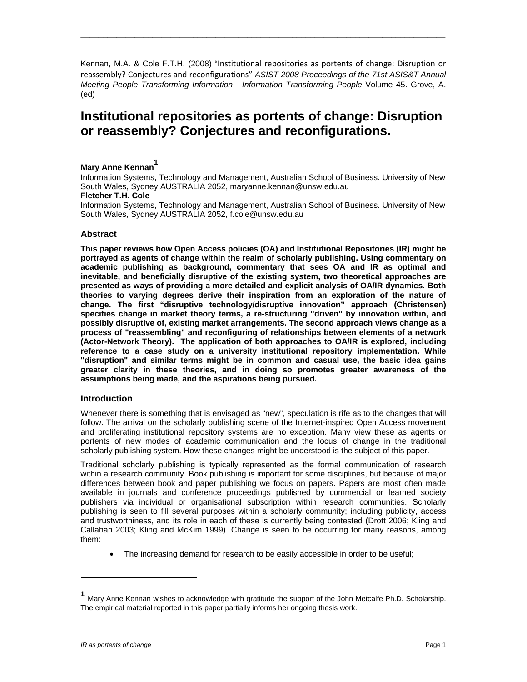Kennan, M.A. & Cole F.T.H. (2008) "Institutional repositories as portents of change: Disruption or reassembly? Conjectures and reconfigurations" *ASIST 2008 Proceedings of the 71st ASIS&T Annual Meeting People Transforming Information - Information Transforming People* Volume 45. Grove, A. (ed)

\_\_\_\_\_\_\_\_\_\_\_\_\_\_\_\_\_\_\_\_\_\_\_\_\_\_\_\_\_\_\_\_\_\_\_\_\_\_\_\_\_\_\_\_\_\_\_\_\_\_\_\_\_\_\_\_\_\_\_\_\_\_\_\_\_\_\_\_\_\_\_\_\_\_\_\_\_\_\_\_\_

# **Institutional repositories as portents of change: Disruption or reassembly? Conjectures and reconfigurations.**

### **Mary Anne Kennan<sup>1</sup>**

Information Systems, Technology and Management, Australian School of Business. University of New South Wales, Sydney AUSTRALIA 2052, maryanne.kennan@unsw.edu.au

#### **Fletcher T.H. Cole**

Information Systems, Technology and Management, Australian School of Business. University of New South Wales, Sydney AUSTRALIA 2052, f.cole@unsw.edu.au

#### **Abstract**

**This paper reviews how Open Access policies (OA) and Institutional Repositories (IR) might be portrayed as agents of change within the realm of scholarly publishing. Using commentary on academic publishing as background, commentary that sees OA and IR as optimal and inevitable, and beneficially disruptive of the existing system, two theoretical approaches are presented as ways of providing a more detailed and explicit analysis of OA/IR dynamics. Both theories to varying degrees derive their inspiration from an exploration of the nature of change. The first "disruptive technology/disruptive innovation" approach (Christensen) specifies change in market theory terms, a re-structuring "driven" by innovation within, and possibly disruptive of, existing market arrangements. The second approach views change as a process of "reassembling" and reconfiguring of relationships between elements of a network (Actor-Network Theory). The application of both approaches to OA/IR is explored, including reference to a case study on a university institutional repository implementation. While "disruption" and similar terms might be in common and casual use, the basic idea gains greater clarity in these theories, and in doing so promotes greater awareness of the assumptions being made, and the aspirations being pursued.** 

#### **Introduction**

Whenever there is something that is envisaged as "new", speculation is rife as to the changes that will follow. The arrival on the scholarly publishing scene of the Internet-inspired Open Access movement and proliferating institutional repository systems are no exception. Many view these as agents or portents of new modes of academic communication and the locus of change in the traditional scholarly publishing system. How these changes might be understood is the subject of this paper.

Traditional scholarly publishing is typically represented as the formal communication of research within a research community. Book publishing is important for some disciplines, but because of major differences between book and paper publishing we focus on papers. Papers are most often made available in journals and conference proceedings published by commercial or learned society publishers via individual or organisational subscription within research communities. Scholarly publishing is seen to fill several purposes within a scholarly community; including publicity, access and trustworthiness, and its role in each of these is currently being contested (Drott 2006; Kling and Callahan 2003; Kling and McKim 1999). Change is seen to be occurring for many reasons, among them:

• The increasing demand for research to be easily accessible in order to be useful;

*\_\_\_\_\_\_\_\_\_\_\_\_\_\_\_\_\_\_\_\_\_\_\_\_\_\_\_\_\_\_\_\_\_\_\_\_\_\_\_\_\_\_\_\_\_\_\_\_\_\_\_\_\_\_\_\_\_\_\_\_\_\_\_\_\_\_\_\_\_\_\_\_\_\_\_\_\_\_\_\_\_\_\_\_\_\_\_\_\_\_\_\_\_\_\_\_\_\_\_\_\_*

**<sup>1</sup>** Mary Anne Kennan wishes to acknowledge with gratitude the support of the John Metcalfe Ph.D. Scholarship. The empirical material reported in this paper partially informs her ongoing thesis work.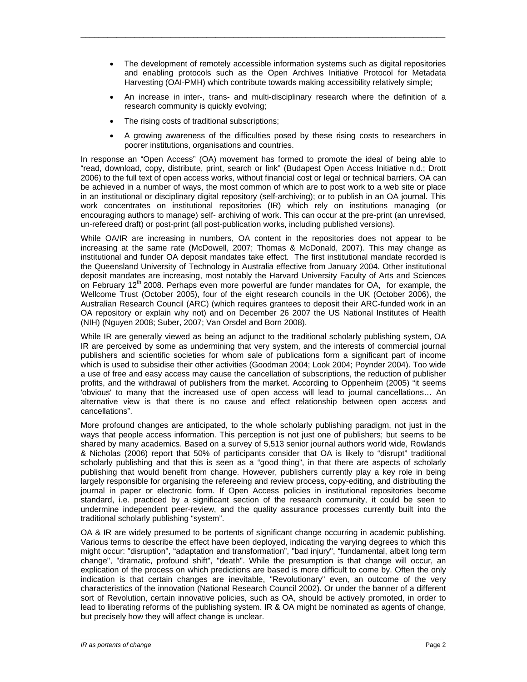• The development of remotely accessible information systems such as digital repositories and enabling protocols such as the Open Archives Initiative Protocol for Metadata Harvesting (OAI-PMH) which contribute towards making accessibility relatively simple;

\_\_\_\_\_\_\_\_\_\_\_\_\_\_\_\_\_\_\_\_\_\_\_\_\_\_\_\_\_\_\_\_\_\_\_\_\_\_\_\_\_\_\_\_\_\_\_\_\_\_\_\_\_\_\_\_\_\_\_\_\_\_\_\_\_\_\_\_\_\_\_\_\_\_\_\_\_\_\_\_\_

- An increase in inter-, trans- and multi-disciplinary research where the definition of a research community is quickly evolving;
- The rising costs of traditional subscriptions;
- A growing awareness of the difficulties posed by these rising costs to researchers in poorer institutions, organisations and countries.

In response an "Open Access" (OA) movement has formed to promote the ideal of being able to "read, download, copy, distribute, print, search or link" (Budapest Open Access Initiative n.d.; Drott 2006) to the full text of open access works, without financial cost or legal or technical barriers. OA can be achieved in a number of ways, the most common of which are to post work to a web site or place in an institutional or disciplinary digital repository (self-archiving); or to publish in an OA journal. This work concentrates on institutional repositories (IR) which rely on institutions managing (or encouraging authors to manage) self- archiving of work. This can occur at the pre-print (an unrevised, un-refereed draft) or post-print (all post-publication works, including published versions).

While OA/IR are increasing in numbers, OA content in the repositories does not appear to be increasing at the same rate (McDowell, 2007; Thomas & McDonald, 2007). This may change as institutional and funder OA deposit mandates take effect. The first institutional mandate recorded is the Queensland University of Technology in Australia effective from January 2004. Other institutional deposit mandates are increasing, most notably the Harvard University Faculty of Arts and Sciences on February 12<sup>th</sup> 2008. Perhaps even more powerful are funder mandates for OA, for example, the Wellcome Trust (October 2005), four of the eight research councils in the UK (October 2006), the Australian Research Council (ARC) (which requires grantees to deposit their ARC-funded work in an OA repository or explain why not) and on December 26 2007 the US National Institutes of Health (NIH) (Nguyen 2008; Suber, 2007; Van Orsdel and Born 2008).

While IR are generally viewed as being an adjunct to the traditional scholarly publishing system, OA IR are perceived by some as undermining that very system, and the interests of commercial journal publishers and scientific societies for whom sale of publications form a significant part of income which is used to subsidise their other activities (Goodman 2004; Look 2004; Poynder 2004). Too wide a use of free and easy access may cause the cancellation of subscriptions, the reduction of publisher profits, and the withdrawal of publishers from the market. According to Oppenheim (2005) "it seems 'obvious' to many that the increased use of open access will lead to journal cancellations… An alternative view is that there is no cause and effect relationship between open access and cancellations".

More profound changes are anticipated, to the whole scholarly publishing paradigm, not just in the ways that people access information. This perception is not just one of publishers; but seems to be shared by many academics. Based on a survey of 5,513 senior journal authors world wide, Rowlands & Nicholas (2006) report that 50% of participants consider that OA is likely to "disrupt" traditional scholarly publishing and that this is seen as a "good thing", in that there are aspects of scholarly publishing that would benefit from change. However, publishers currently play a key role in being largely responsible for organising the refereeing and review process, copy-editing, and distributing the journal in paper or electronic form. If Open Access policies in institutional repositories become standard, i.e. practiced by a significant section of the research community, it could be seen to undermine independent peer-review, and the quality assurance processes currently built into the traditional scholarly publishing "system".

OA & IR are widely presumed to be portents of significant change occurring in academic publishing. Various terms to describe the effect have been deployed, indicating the varying degrees to which this might occur: "disruption", "adaptation and transformation", "bad injury", "fundamental, albeit long term change", "dramatic, profound shift", "death". While the presumption is that change will occur, an explication of the process on which predictions are based is more difficult to come by. Often the only indication is that certain changes are inevitable, "Revolutionary" even, an outcome of the very characteristics of the innovation (National Research Council 2002). Or under the banner of a different sort of Revolution, certain innovative policies, such as OA, should be actively promoted, in order to lead to liberating reforms of the publishing system. IR & OA might be nominated as agents of change, but precisely how they will affect change is unclear.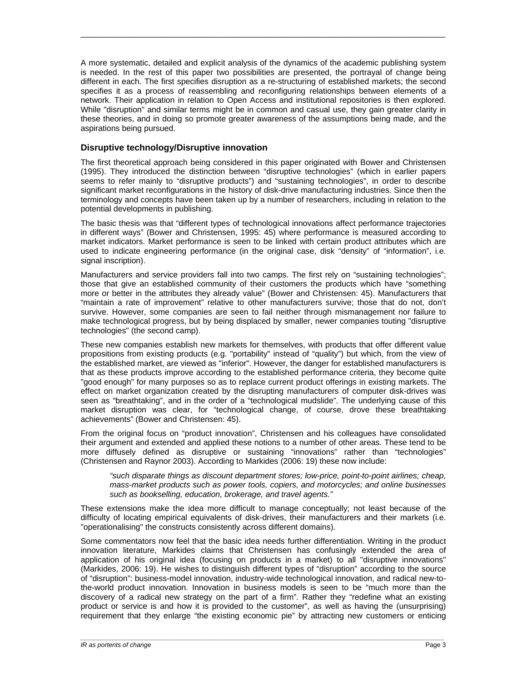A more systematic, detailed and explicit analysis of the dynamics of the academic publishing system is needed. In the rest of this paper two possibilities are presented, the portrayal of change being different in each. The first specifies disruption as a re-structuring of established markets; the second specifies it as a process of reassembling and reconfiguring relationships between elements of a network. Their application in relation to Open Access and institutional repositories is then explored. While "disruption" and similar terms might be in common and casual use, they gain greater clarity in these theories, and in doing so promote greater awareness of the assumptions being made, and the aspirations being pursued.

\_\_\_\_\_\_\_\_\_\_\_\_\_\_\_\_\_\_\_\_\_\_\_\_\_\_\_\_\_\_\_\_\_\_\_\_\_\_\_\_\_\_\_\_\_\_\_\_\_\_\_\_\_\_\_\_\_\_\_\_\_\_\_\_\_\_\_\_\_\_\_\_\_\_\_\_\_\_\_\_\_

#### **Disruptive technology/Disruptive innovation**

The first theoretical approach being considered in this paper originated with Bower and Christensen (1995). They introduced the distinction between "disruptive technologies" (which in earlier papers seems to refer mainly to "disruptive products") and "sustaining technologies", in order to describe significant market reconfigurations in the history of disk-drive manufacturing industries. Since then the terminology and concepts have been taken up by a number of researchers, including in relation to the potential developments in publishing.

The basic thesis was that "different types of technological innovations affect performance trajectories in different ways" (Bower and Christensen, 1995: 45) where performance is measured according to market indicators. Market performance is seen to be linked with certain product attributes which are used to indicate engineering performance (in the original case, disk "density" of "information", i.e. signal inscription).

Manufacturers and service providers fall into two camps. The first rely on "sustaining technologies"; those that give an established community of their customers the products which have "something more or better in the attributes they already value" (Bower and Christensen: 45). Manufacturers that "maintain a rate of improvement" relative to other manufacturers survive; those that do not, don't survive. However, some companies are seen to fail neither through mismanagement nor failure to make technological progress, but by being displaced by smaller, newer companies touting "disruptive technologies" (the second camp).

These new companies establish new markets for themselves, with products that offer different value propositions from existing products (e.g. "portability" instead of "quality") but which, from the view of the established market, are viewed as "inferior". However, the danger for established manufacturers is that as these products improve according to the established performance criteria, they become quite "good enough" for many purposes so as to replace current product offerings in existing markets. The effect on market organization created by the disrupting manufacturers of computer disk-drives was seen as "breathtaking", and in the order of a "technological mudslide". The underlying cause of this market disruption was clear, for "technological change, of course, drove these breathtaking achievements" (Bower and Christensen: 45).

From the original focus on "product innovation", Christensen and his colleagues have consolidated their argument and extended and applied these notions to a number of other areas. These tend to be more diffusely defined as disruptive or sustaining "innovations" rather than "technologies" (Christensen and Raynor 2003). According to Markides (2006: 19) these now include:

*"such disparate things as discount department stores; low-price, point-to-point airlines; cheap, mass-market products such as power tools, copiers, and motorcycles; and online businesses such as bookselling, education, brokerage, and travel agents."* 

These extensions make the idea more difficult to manage conceptually; not least because of the difficulty of locating empirical equivalents of disk-drives, their manufacturers and their markets (i.e. "operationalising" the constructs consistently across different domains).

Some commentators now feel that the basic idea needs further differentiation. Writing in the product innovation literature, Markides claims that Christensen has confusingly extended the area of application of his original idea (focusing on products in a market) to all "disruptive innovations" (Markides, 2006: 19). He wishes to distinguish different types of "disruption" according to the source of "disruption": business-model innovation, industry-wide technological innovation, and radical new-tothe-world product innovation. Innovation in business models is seen to be "much more than the discovery of a radical new strategy on the part of a firm". Rather they "redefine what an existing product or service is and how it is provided to the customer", as well as having the (unsurprising) requirement that they enlarge "the existing economic pie" by attracting new customers or enticing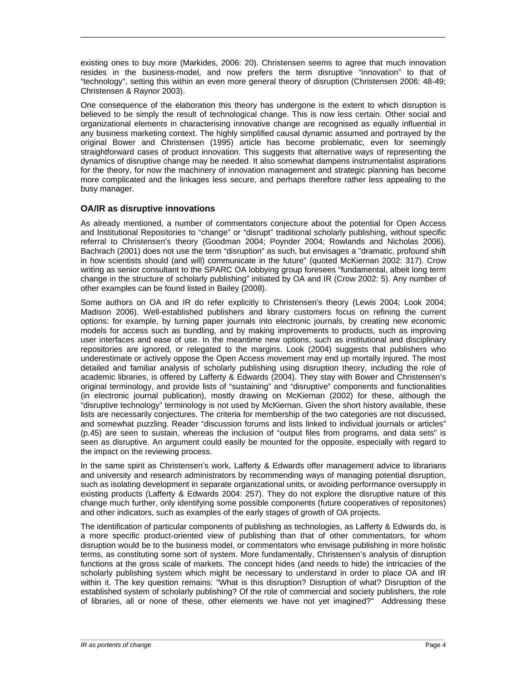existing ones to buy more (Markides, 2006: 20). Christensen seems to agree that much innovation resides in the business-model, and now prefers the term disruptive "innovation" to that of "technology", setting this within an even more general theory of disruption (Christensen 2006: 48-49; Christensen & Raynor 2003).

\_\_\_\_\_\_\_\_\_\_\_\_\_\_\_\_\_\_\_\_\_\_\_\_\_\_\_\_\_\_\_\_\_\_\_\_\_\_\_\_\_\_\_\_\_\_\_\_\_\_\_\_\_\_\_\_\_\_\_\_\_\_\_\_\_\_\_\_\_\_\_\_\_\_\_\_\_\_\_\_\_

One consequence of the elaboration this theory has undergone is the extent to which disruption is believed to be simply the result of technological change. This is now less certain. Other social and organizational elements in characterising innovative change are recognised as equally influential in any business marketing context. The highly simplified causal dynamic assumed and portrayed by the original Bower and Christensen (1995) article has become problematic, even for seemingly straightforward cases of product innovation. This suggests that alternative ways of representing the dynamics of disruptive change may be needed. It also somewhat dampens instrumentalist aspirations for the theory, for now the machinery of innovation management and strategic planning has become more complicated and the linkages less secure, and perhaps therefore rather less appealing to the busy manager.

### **OA/IR as disruptive innovations**

As already mentioned, a number of commentators conjecture about the potential for Open Access and Institutional Repositories to "change" or "disrupt" traditional scholarly publishing, without specific referral to Christensen's theory (Goodman 2004; Poynder 2004; Rowlands and Nicholas 2006). Bachrach (2001) does not use the term "disruption" as such, but envisages a "dramatic, profound shift in how scientists should (and will) communicate in the future" (quoted McKiernan 2002: 317). Crow writing as senior consultant to the SPARC OA lobbying group foresees "fundamental, albeit long term change in the structure of scholarly publishing" initiated by OA and IR (Crow 2002: 5). Any number of other examples can be found listed in Bailey (2008).

Some authors on OA and IR do refer explicitly to Christensen's theory (Lewis 2004; Look 2004; Madison 2006). Well-established publishers and library customers focus on refining the current options: for example, by turning paper journals into electronic journals, by creating new economic models for access such as bundling, and by making improvements to products, such as improving user interfaces and ease of use. In the meantime new options, such as institutional and disciplinary repositories are ignored, or relegated to the margins. Look (2004) suggests that publishers who underestimate or actively oppose the Open Access movement may end up mortally injured. The most detailed and familiar analysis of scholarly publishing using disruption theory, including the role of academic libraries, is offered by Lafferty & Edwards (2004). They stay with Bower and Christensen's original terminology, and provide lists of "sustaining" and "disruptive" components and functionalities (in electronic journal publication), mostly drawing on McKiernan (2002) for these, although the "disruptive technology" terminology is not used by McKiernan. Given the short history available, these lists are necessarily conjectures. The criteria for membership of the two categories are not discussed, and somewhat puzzling. Reader "discussion forums and lists linked to individual journals or articles" (p.45) are seen to sustain, whereas the inclusion of "output files from programs, and data sets" is seen as disruptive. An argument could easily be mounted for the opposite, especially with regard to the impact on the reviewing process.

In the same spirit as Christensen's work, Lafferty & Edwards offer management advice to librarians and university and research administrators by recommending ways of managing potential disruption, such as isolating development in separate organizational units, or avoiding performance oversupply in existing products (Lafferty & Edwards 2004: 257). They do not explore the disruptive nature of this change much further, only identifying some possible components (future cooperatives of repositories) and other indicators, such as examples of the early stages of growth of OA projects.

The identification of particular components of publishing as technologies, as Lafferty & Edwards do, is a more specific product-oriented view of publishing than that of other commentators, for whom disruption would be to the business model, or commentators who envisage publishing in more holistic terms, as constituting some sort of system. More fundamentally, Christensen's analysis of disruption functions at the gross scale of markets. The concept hides (and needs to hide) the intricacies of the scholarly publishing system which might be necessary to understand in order to place OA and IR within it. The key question remains: "What is this disruption? Disruption of what? Disruption of the established system of scholarly publishing? Of the role of commercial and society publishers, the role of libraries, all or none of these, other elements we have not yet imagined?" Addressing these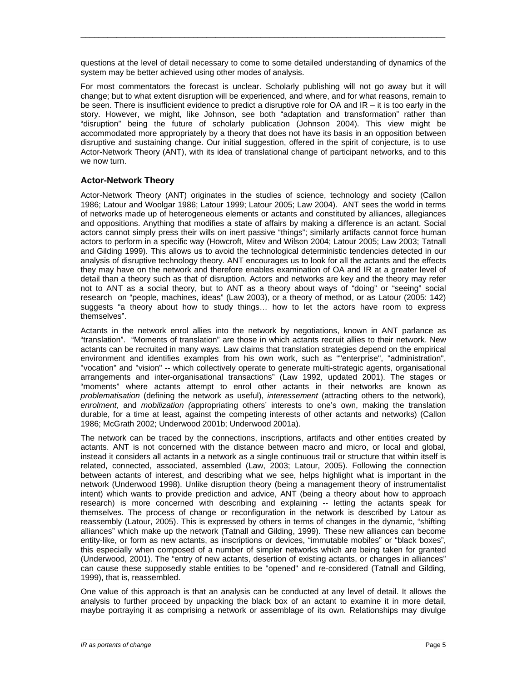questions at the level of detail necessary to come to some detailed understanding of dynamics of the system may be better achieved using other modes of analysis.

\_\_\_\_\_\_\_\_\_\_\_\_\_\_\_\_\_\_\_\_\_\_\_\_\_\_\_\_\_\_\_\_\_\_\_\_\_\_\_\_\_\_\_\_\_\_\_\_\_\_\_\_\_\_\_\_\_\_\_\_\_\_\_\_\_\_\_\_\_\_\_\_\_\_\_\_\_\_\_\_\_

For most commentators the forecast is unclear. Scholarly publishing will not go away but it will change; but to what extent disruption will be experienced, and where, and for what reasons, remain to be seen. There is insufficient evidence to predict a disruptive role for OA and IR – it is too early in the story. However, we might, like Johnson, see both "adaptation and transformation" rather than "disruption" being the future of scholarly publication (Johnson 2004). This view might be accommodated more appropriately by a theory that does not have its basis in an opposition between disruptive and sustaining change. Our initial suggestion, offered in the spirit of conjecture, is to use Actor-Network Theory (ANT), with its idea of translational change of participant networks, and to this we now turn.

### **Actor-Network Theory**

Actor-Network Theory (ANT) originates in the studies of science, technology and society (Callon 1986; Latour and Woolgar 1986; Latour 1999; Latour 2005; Law 2004). ANT sees the world in terms of networks made up of heterogeneous elements or actants and constituted by alliances, allegiances and oppositions. Anything that modifies a state of affairs by making a difference is an actant. Social actors cannot simply press their wills on inert passive "things"; similarly artifacts cannot force human actors to perform in a specific way (Howcroft, Mitev and Wilson 2004; Latour 2005; Law 2003; Tatnall and Gilding 1999). This allows us to avoid the technological deterministic tendencies detected in our analysis of disruptive technology theory. ANT encourages us to look for all the actants and the effects they may have on the network and therefore enables examination of OA and IR at a greater level of detail than a theory such as that of disruption. Actors and networks are key and the theory may refer not to ANT as a social theory, but to ANT as a theory about ways of "doing" or "seeing" social research on "people, machines, ideas" (Law 2003), or a theory of method, or as Latour (2005: 142) suggests "a theory about how to study things… how to let the actors have room to express themselves".

Actants in the network enrol allies into the network by negotiations, known in ANT parlance as "translation". "Moments of translation" are those in which actants recruit allies to their network. New actants can be recruited in many ways. Law claims that translation strategies depend on the empirical environment and identifies examples from his own work, such as ""enterprise", "administration", "vocation" and "vision" -- which collectively operate to generate multi-strategic agents, organisational arrangements and inter-organisational transactions" (Law 1992, updated 2001). The stages or "moments" where actants attempt to enrol other actants in their networks are known as *problematisation* (defining the network as useful), *interessement* (attracting others to the network), *enrolment*, and *mobilization (*appropriating others' interests to one's own, making the translation durable, for a time at least, against the competing interests of other actants and networks) (Callon 1986; McGrath 2002; Underwood 2001b; Underwood 2001a).

The network can be traced by the connections, inscriptions, artifacts and other entities created by actants. ANT is not concerned with the distance between macro and micro, or local and global, instead it considers all actants in a network as a single continuous trail or structure that within itself is related, connected, associated, assembled (Law, 2003; Latour, 2005). Following the connection between actants of interest, and describing what we see, helps highlight what is important in the network (Underwood 1998). Unlike disruption theory (being a management theory of instrumentalist intent) which wants to provide prediction and advice, ANT (being a theory about how to approach research) is more concerned with describing and explaining -- letting the actants speak for themselves. The process of change or reconfiguration in the network is described by Latour as reassembly (Latour, 2005). This is expressed by others in terms of changes in the dynamic, "shifting alliances" which make up the network (Tatnall and Gilding, 1999). These new alliances can become entity-like, or form as new actants, as inscriptions or devices, "immutable mobiles" or "black boxes", this especially when composed of a number of simpler networks which are being taken for granted (Underwood, 2001). The "entry of new actants, desertion of existing actants, or changes in alliances" can cause these supposedly stable entities to be "opened" and re-considered (Tatnall and Gilding, 1999), that is, reassembled.

One value of this approach is that an analysis can be conducted at any level of detail. It allows the analysis to further proceed by unpacking the black box of an actant to examine it in more detail, maybe portraying it as comprising a network or assemblage of its own. Relationships may divulge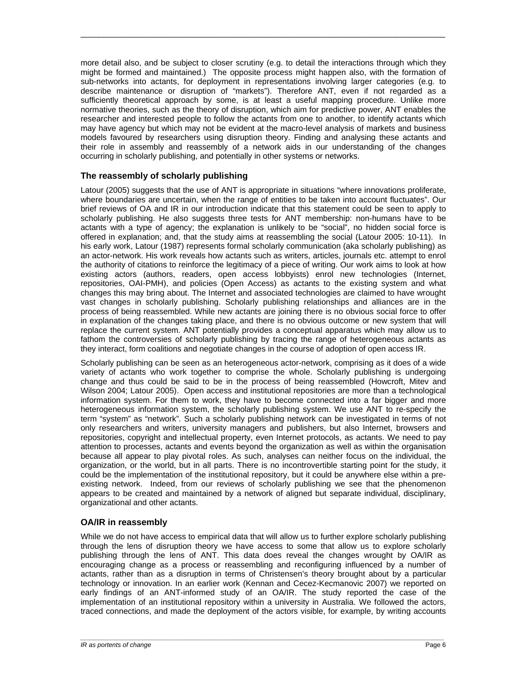more detail also, and be subject to closer scrutiny (e.g. to detail the interactions through which they might be formed and maintained.) The opposite process might happen also, with the formation of sub-networks into actants, for deployment in representations involving larger categories (e.g. to describe maintenance or disruption of "markets"). Therefore ANT, even if not regarded as a sufficiently theoretical approach by some, is at least a useful mapping procedure. Unlike more normative theories, such as the theory of disruption, which aim for predictive power, ANT enables the researcher and interested people to follow the actants from one to another, to identify actants which may have agency but which may not be evident at the macro-level analysis of markets and business models favoured by researchers using disruption theory. Finding and analysing these actants and their role in assembly and reassembly of a network aids in our understanding of the changes occurring in scholarly publishing, and potentially in other systems or networks.

\_\_\_\_\_\_\_\_\_\_\_\_\_\_\_\_\_\_\_\_\_\_\_\_\_\_\_\_\_\_\_\_\_\_\_\_\_\_\_\_\_\_\_\_\_\_\_\_\_\_\_\_\_\_\_\_\_\_\_\_\_\_\_\_\_\_\_\_\_\_\_\_\_\_\_\_\_\_\_\_\_

### **The reassembly of scholarly publishing**

Latour (2005) suggests that the use of ANT is appropriate in situations "where innovations proliferate, where boundaries are uncertain, when the range of entities to be taken into account fluctuates". Our brief reviews of OA and IR in our introduction indicate that this statement could be seen to apply to scholarly publishing. He also suggests three tests for ANT membership: non-humans have to be actants with a type of agency; the explanation is unlikely to be "social", no hidden social force is offered in explanation; and, that the study aims at reassembling the social (Latour 2005: 10-11). In his early work, Latour (1987) represents formal scholarly communication (aka scholarly publishing) as an actor-network. His work reveals how actants such as writers, articles, journals etc. attempt to enrol the authority of citations to reinforce the legitimacy of a piece of writing. Our work aims to look at how existing actors (authors, readers, open access lobbyists) enrol new technologies (Internet, repositories, OAI-PMH), and policies (Open Access) as actants to the existing system and what changes this may bring about. The Internet and associated technologies are claimed to have wrought vast changes in scholarly publishing. Scholarly publishing relationships and alliances are in the process of being reassembled. While new actants are joining there is no obvious social force to offer in explanation of the changes taking place, and there is no obvious outcome or new system that will replace the current system. ANT potentially provides a conceptual apparatus which may allow us to fathom the controversies of scholarly publishing by tracing the range of heterogeneous actants as they interact, form coalitions and negotiate changes in the course of adoption of open access IR.

Scholarly publishing can be seen as an heterogeneous actor-network, comprising as it does of a wide variety of actants who work together to comprise the whole. Scholarly publishing is undergoing change and thus could be said to be in the process of being reassembled (Howcroft, Mitev and Wilson 2004; Latour 2005). Open access and institutional repositories are more than a technological information system. For them to work, they have to become connected into a far bigger and more heterogeneous information system, the scholarly publishing system. We use ANT to re-specify the term "system" as "network". Such a scholarly publishing network can be investigated in terms of not only researchers and writers, university managers and publishers, but also Internet, browsers and repositories, copyright and intellectual property, even Internet protocols, as actants. We need to pay attention to processes, actants and events beyond the organization as well as within the organisation because all appear to play pivotal roles. As such, analyses can neither focus on the individual, the organization, or the world, but in all parts. There is no incontrovertible starting point for the study, it could be the implementation of the institutional repository, but it could be anywhere else within a preexisting network. Indeed, from our reviews of scholarly publishing we see that the phenomenon appears to be created and maintained by a network of aligned but separate individual, disciplinary, organizational and other actants.

### **OA/IR in reassembly**

While we do not have access to empirical data that will allow us to further explore scholarly publishing through the lens of disruption theory we have access to some that allow us to explore scholarly publishing through the lens of ANT. This data does reveal the changes wrought by OA/IR as encouraging change as a process or reassembling and reconfiguring influenced by a number of actants, rather than as a disruption in terms of Christensen's theory brought about by a particular technology or innovation. In an earlier work (Kennan and Cecez-Kecmanovic 2007) we reported on early findings of an ANT-informed study of an OA/IR. The study reported the case of the implementation of an institutional repository within a university in Australia. We followed the actors, traced connections, and made the deployment of the actors visible, for example, by writing accounts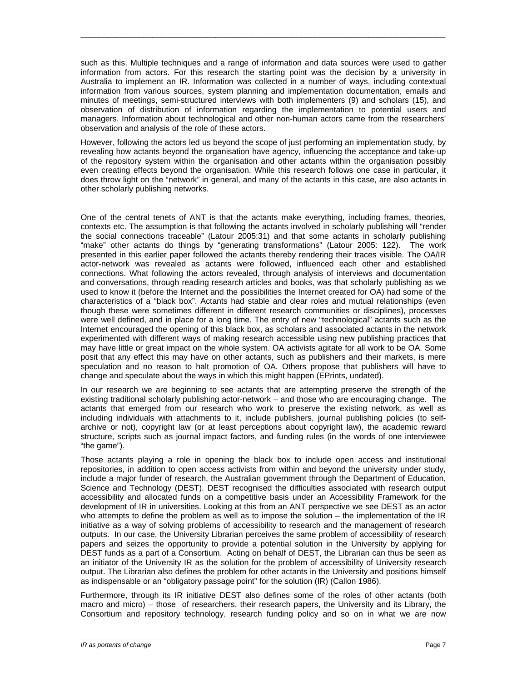such as this. Multiple techniques and a range of information and data sources were used to gather information from actors. For this research the starting point was the decision by a university in Australia to implement an IR. Information was collected in a number of ways, including contextual information from various sources, system planning and implementation documentation, emails and minutes of meetings, semi-structured interviews with both implementers (9) and scholars (15), and observation of distribution of information regarding the implementation to potential users and managers. Information about technological and other non-human actors came from the researchers' observation and analysis of the role of these actors.

\_\_\_\_\_\_\_\_\_\_\_\_\_\_\_\_\_\_\_\_\_\_\_\_\_\_\_\_\_\_\_\_\_\_\_\_\_\_\_\_\_\_\_\_\_\_\_\_\_\_\_\_\_\_\_\_\_\_\_\_\_\_\_\_\_\_\_\_\_\_\_\_\_\_\_\_\_\_\_\_\_

However, following the actors led us beyond the scope of just performing an implementation study, by revealing how actants beyond the organisation have agency, influencing the acceptance and take-up of the repository system within the organisation and other actants within the organisation possibly even creating effects beyond the organisation. While this research follows one case in particular, it does throw light on the "network" in general, and many of the actants in this case, are also actants in other scholarly publishing networks.

One of the central tenets of ANT is that the actants make everything, including frames, theories, contexts etc. The assumption is that following the actants involved in scholarly publishing will "render the social connections traceable" (Latour 2005:31) and that some actants in scholarly publishing "make" other actants do things by "generating transformations" (Latour 2005: 122). The work presented in this earlier paper followed the actants thereby rendering their traces visible. The OA/IR actor-network was revealed as actants were followed, influenced each other and established connections. What following the actors revealed, through analysis of interviews and documentation and conversations, through reading research articles and books, was that scholarly publishing as we used to know it (before the Internet and the possibilities the Internet created for OA) had some of the characteristics of a "black box". Actants had stable and clear roles and mutual relationships (even though these were sometimes different in different research communities or disciplines), processes were well defined, and in place for a long time. The entry of new "technological" actants such as the Internet encouraged the opening of this black box, as scholars and associated actants in the network experimented with different ways of making research accessible using new publishing practices that may have little or great impact on the whole system. OA activists agitate for all work to be OA. Some posit that any effect this may have on other actants, such as publishers and their markets, is mere speculation and no reason to halt promotion of OA. Others propose that publishers will have to change and speculate about the ways in which this might happen (EPrints, undated).

In our research we are beginning to see actants that are attempting preserve the strength of the existing traditional scholarly publishing actor-network – and those who are encouraging change. The actants that emerged from our research who work to preserve the existing network, as well as including individuals with attachments to it, include publishers, journal publishing policies (to selfarchive or not), copyright law (or at least perceptions about copyright law), the academic reward structure, scripts such as journal impact factors, and funding rules (in the words of one interviewee "the game").

Those actants playing a role in opening the black box to include open access and institutional repositories, in addition to open access activists from within and beyond the university under study, include a major funder of research, the Australian government through the Department of Education, Science and Technology (DEST). DEST recognised the difficulties associated with research output accessibility and allocated funds on a competitive basis under an Accessibility Framework for the development of IR in universities. Looking at this from an ANT perspective we see DEST as an actor who attempts to define the problem as well as to impose the solution – the implementation of the IR initiative as a way of solving problems of accessibility to research and the management of research outputs. In our case, the University Librarian perceives the same problem of accessibility of research papers and seizes the opportunity to provide a potential solution in the University by applying for DEST funds as a part of a Consortium. Acting on behalf of DEST, the Librarian can thus be seen as an initiator of the University IR as the solution for the problem of accessibility of University research output. The Librarian also defines the problem for other actants in the University and positions himself as indispensable or an "obligatory passage point" for the solution (IR) (Callon 1986).

Furthermore, through its IR initiative DEST also defines some of the roles of other actants (both macro and micro) – those of researchers, their research papers, the University and its Library, the Consortium and repository technology, research funding policy and so on in what we are now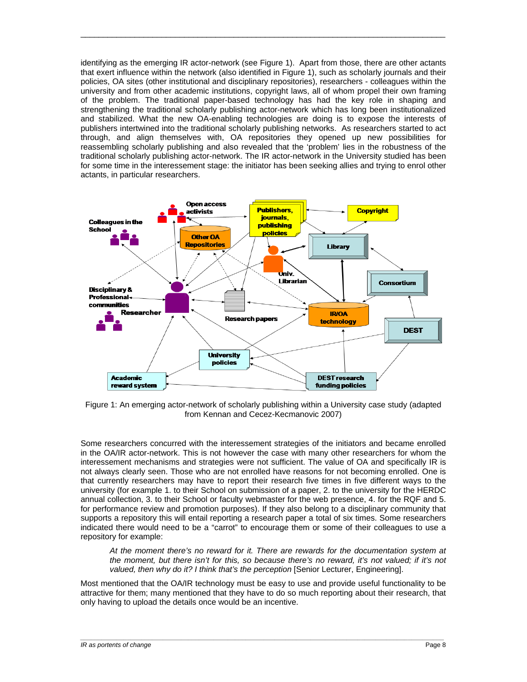identifying as the emerging IR actor-network (see Figure 1). Apart from those, there are other actants that exert influence within the network (also identified in Figure 1), such as scholarly journals and their policies, OA sites (other institutional and disciplinary repositories), researchers - colleagues within the university and from other academic institutions, copyright laws, all of whom propel their own framing of the problem. The traditional paper-based technology has had the key role in shaping and strengthening the traditional scholarly publishing actor-network which has long been institutionalized and stabilized. What the new OA-enabling technologies are doing is to expose the interests of publishers intertwined into the traditional scholarly publishing networks. As researchers started to act through, and align themselves with, OA repositories they opened up new possibilities for reassembling scholarly publishing and also revealed that the 'problem' lies in the robustness of the traditional scholarly publishing actor-network. The IR actor-network in the University studied has been for some time in the interessement stage: the initiator has been seeking allies and trying to enrol other actants, in particular researchers.

\_\_\_\_\_\_\_\_\_\_\_\_\_\_\_\_\_\_\_\_\_\_\_\_\_\_\_\_\_\_\_\_\_\_\_\_\_\_\_\_\_\_\_\_\_\_\_\_\_\_\_\_\_\_\_\_\_\_\_\_\_\_\_\_\_\_\_\_\_\_\_\_\_\_\_\_\_\_\_\_\_



Figure 1: An emerging actor-network of scholarly publishing within a University case study (adapted from Kennan and Cecez-Kecmanovic 2007)

Some researchers concurred with the interessement strategies of the initiators and became enrolled in the OA/IR actor-network. This is not however the case with many other researchers for whom the interessement mechanisms and strategies were not sufficient. The value of OA and specifically IR is not always clearly seen. Those who are not enrolled have reasons for not becoming enrolled. One is that currently researchers may have to report their research five times in five different ways to the university (for example 1. to their School on submission of a paper, 2. to the university for the HERDC annual collection, 3. to their School or faculty webmaster for the web presence, 4. for the RQF and 5. for performance review and promotion purposes). If they also belong to a disciplinary community that supports a repository this will entail reporting a research paper a total of six times. Some researchers indicated there would need to be a "carrot" to encourage them or some of their colleagues to use a repository for example:

*At the moment there's no reward for it. There are rewards for the documentation system at the moment, but there isn't for this, so because there's no reward, it's not valued; if it's not*  valued, then why do it? I think that's the perception [Senior Lecturer, Engineering].

Most mentioned that the OA/IR technology must be easy to use and provide useful functionality to be attractive for them; many mentioned that they have to do so much reporting about their research, that only having to upload the details once would be an incentive.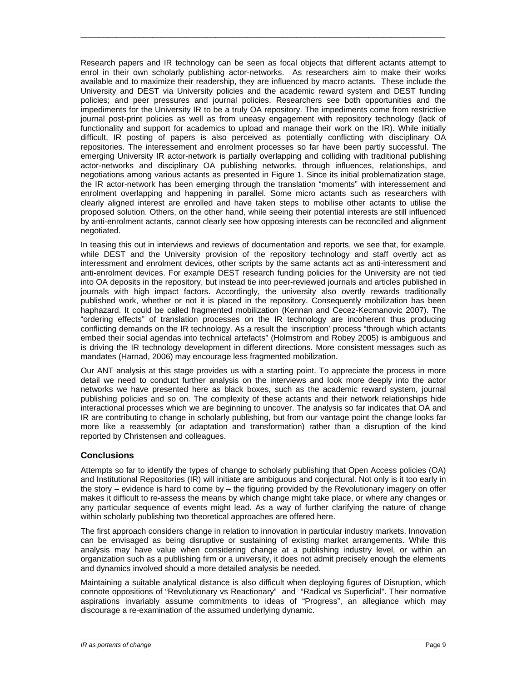Research papers and IR technology can be seen as focal objects that different actants attempt to enrol in their own scholarly publishing actor-networks. As researchers aim to make their works available and to maximize their readership, they are influenced by macro actants. These include the University and DEST via University policies and the academic reward system and DEST funding policies; and peer pressures and journal policies. Researchers see both opportunities and the impediments for the University IR to be a truly OA repository. The impediments come from restrictive journal post-print policies as well as from uneasy engagement with repository technology (lack of functionality and support for academics to upload and manage their work on the IR). While initially difficult, IR posting of papers is also perceived as potentially conflicting with disciplinary OA repositories. The interessement and enrolment processes so far have been partly successful. The emerging University IR actor-network is partially overlapping and colliding with traditional publishing actor-networks and disciplinary OA publishing networks, through influences, relationships, and negotiations among various actants as presented in Figure 1. Since its initial problematization stage, the IR actor-network has been emerging through the translation "moments" with interessement and enrolment overlapping and happening in parallel. Some micro actants such as researchers with clearly aligned interest are enrolled and have taken steps to mobilise other actants to utilise the proposed solution. Others, on the other hand, while seeing their potential interests are still influenced by anti-enrolment actants, cannot clearly see how opposing interests can be reconciled and alignment negotiated.

\_\_\_\_\_\_\_\_\_\_\_\_\_\_\_\_\_\_\_\_\_\_\_\_\_\_\_\_\_\_\_\_\_\_\_\_\_\_\_\_\_\_\_\_\_\_\_\_\_\_\_\_\_\_\_\_\_\_\_\_\_\_\_\_\_\_\_\_\_\_\_\_\_\_\_\_\_\_\_\_\_

In teasing this out in interviews and reviews of documentation and reports, we see that, for example, while DEST and the University provision of the repository technology and staff overtly act as interessment and enrolment devices, other scripts by the same actants act as anti-interessment and anti-enrolment devices. For example DEST research funding policies for the University are not tied into OA deposits in the repository, but instead tie into peer-reviewed journals and articles published in journals with high impact factors. Accordingly, the university also overtly rewards traditionally published work, whether or not it is placed in the repository. Consequently mobilization has been haphazard. It could be called fragmented mobilization (Kennan and Cecez-Kecmanovic 2007). The "ordering effects" of translation processes on the IR technology are incoherent thus producing conflicting demands on the IR technology. As a result the 'inscription' process "through which actants embed their social agendas into technical artefacts" (Holmstrom and Robey 2005) is ambiguous and is driving the IR technology development in different directions. More consistent messages such as mandates (Harnad, 2006) may encourage less fragmented mobilization.

Our ANT analysis at this stage provides us with a starting point. To appreciate the process in more detail we need to conduct further analysis on the interviews and look more deeply into the actor networks we have presented here as black boxes, such as the academic reward system, journal publishing policies and so on. The complexity of these actants and their network relationships hide interactional processes which we are beginning to uncover. The analysis so far indicates that OA and IR are contributing to change in scholarly publishing, but from our vantage point the change looks far more like a reassembly (or adaptation and transformation) rather than a disruption of the kind reported by Christensen and colleagues.

#### **Conclusions**

Attempts so far to identify the types of change to scholarly publishing that Open Access policies (OA) and Institutional Repositories (IR) will initiate are ambiguous and conjectural. Not only is it too early in the story – evidence is hard to come by – the figuring provided by the Revolutionary imagery on offer makes it difficult to re-assess the means by which change might take place, or where any changes or any particular sequence of events might lead. As a way of further clarifying the nature of change within scholarly publishing two theoretical approaches are offered here.

The first approach considers change in relation to innovation in particular industry markets. Innovation can be envisaged as being disruptive or sustaining of existing market arrangements. While this analysis may have value when considering change at a publishing industry level, or within an organization such as a publishing firm or a university, it does not admit precisely enough the elements and dynamics involved should a more detailed analysis be needed.

Maintaining a suitable analytical distance is also difficult when deploying figures of Disruption, which connote oppositions of "Revolutionary vs Reactionary" and "Radical vs Superficial". Their normative aspirations invariably assume commitments to ideas of "Progress", an allegiance which may discourage a re-examination of the assumed underlying dynamic.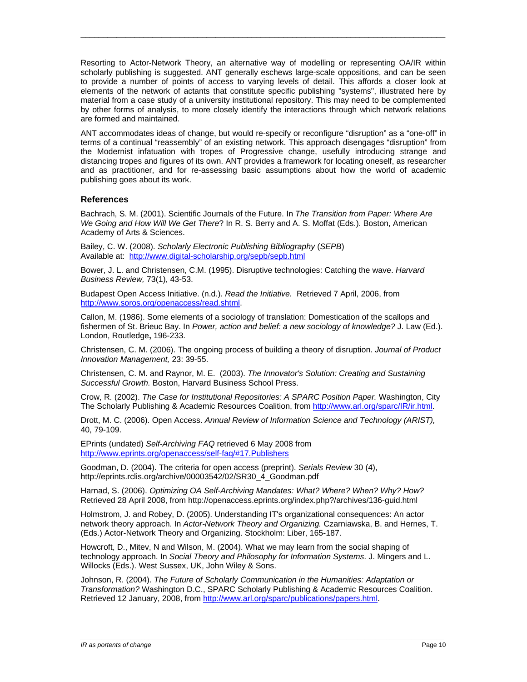Resorting to Actor-Network Theory, an alternative way of modelling or representing OA/IR within scholarly publishing is suggested. ANT generally eschews large-scale oppositions, and can be seen to provide a number of points of access to varying levels of detail. This affords a closer look at elements of the network of actants that constitute specific publishing "systems", illustrated here by material from a case study of a university institutional repository. This may need to be complemented by other forms of analysis, to more closely identify the interactions through which network relations are formed and maintained.

\_\_\_\_\_\_\_\_\_\_\_\_\_\_\_\_\_\_\_\_\_\_\_\_\_\_\_\_\_\_\_\_\_\_\_\_\_\_\_\_\_\_\_\_\_\_\_\_\_\_\_\_\_\_\_\_\_\_\_\_\_\_\_\_\_\_\_\_\_\_\_\_\_\_\_\_\_\_\_\_\_

ANT accommodates ideas of change, but would re-specify or reconfigure "disruption" as a "one-off" in terms of a continual "reassembly" of an existing network. This approach disengages "disruption" from the Modernist infatuation with tropes of Progressive change, usefully introducing strange and distancing tropes and figures of its own. ANT provides a framework for locating oneself, as researcher and as practitioner, and for re-assessing basic assumptions about how the world of academic publishing goes about its work.

#### **References**

Bachrach, S. M. (2001). Scientific Journals of the Future. In *The Transition from Paper: Where Are We Going and How Will We Get There*? In R. S. Berry and A. S. Moffat (Eds.). Boston, American Academy of Arts & Sciences.

Bailey, C. W. (2008). *Scholarly Electronic Publishing Bibliography* (*SEPB*) Available at: http://www.digital-scholarship.org/sepb/sepb.html

Bower, J. L. and Christensen, C.M. (1995). Disruptive technologies: Catching the wave. *Harvard Business Review,* 73(1), 43-53.

Budapest Open Access Initiative. (n.d.). *Read the Initiative.* Retrieved 7 April, 2006, from http://www.soros.org/openaccess/read.shtml.

Callon, M. (1986). Some elements of a sociology of translation: Domestication of the scallops and fishermen of St. Brieuc Bay. In *Power, action and belief: a new sociology of knowledge?* J. Law (Ed.). London, Routledge**,** 196-233.

Christensen, C. M. (2006). The ongoing process of building a theory of disruption. *Journal of Product Innovation Management,* 23: 39-55.

Christensen, C. M. and Raynor, M. E. (2003). *The Innovator's Solution: Creating and Sustaining Successful Growth.* Boston, Harvard Business School Press.

Crow, R. (2002). *The Case for Institutional Repositories: A SPARC Position Paper.* Washington, City The Scholarly Publishing & Academic Resources Coalition, from http://www.arl.org/sparc/IR/ir.html.

Drott, M. C. (2006). Open Access. *Annual Review of Information Science and Technology (ARIST),*  40, 79-109.

EPrints (undated) *Self-Archiving FAQ* retrieved 6 May 2008 from http://www.eprints.org/openaccess/self-faq/#17.Publishers

Goodman, D. (2004). The criteria for open access (preprint). *Serials Review* 30 (4), http://eprints.rclis.org/archive/00003542/02/SR30\_4\_Goodman.pdf

Harnad, S. (2006). *Optimizing OA Self-Archiving Mandates: What? Where? When? Why? How?* Retrieved 28 April 2008, from http://openaccess.eprints.org/index.php?/archives/136-guid.html

Holmstrom, J. and Robey, D. (2005). Understanding IT's organizational consequences: An actor network theory approach. In *Actor-Network Theory and Organizing.* Czarniawska, B. and Hernes, T. (Eds.) Actor-Network Theory and Organizing. Stockholm: Liber, 165-187.

Howcroft, D., Mitev, N and Wilson, M. (2004). What we may learn from the social shaping of technology approach. In *Social Theory and Philosophy for Information Systems*. J. Mingers and L. Willocks (Eds.). West Sussex, UK, John Wiley & Sons.

Johnson, R. (2004). *The Future of Scholarly Communication in the Humanities: Adaptation or Transformation?* Washington D.C., SPARC Scholarly Publishing & Academic Resources Coalition. Retrieved 12 January, 2008, from http://www.arl.org/sparc/publications/papers.html.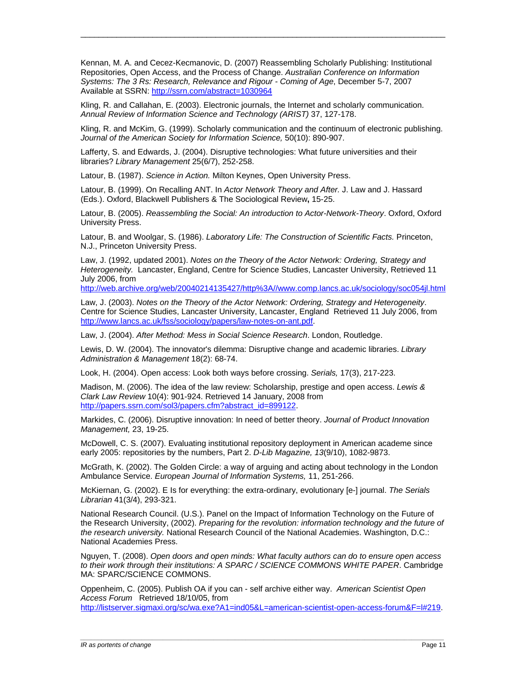Kennan, M. A. and Cecez-Kecmanovic, D. (2007) Reassembling Scholarly Publishing: Institutional Repositories, Open Access, and the Process of Change. *Australian Conference on Information Systems: The 3 Rs: Research, Relevance and Rigour - Coming of Age*, December 5-7, 2007 Available at SSRN: http://ssrn.com/abstract=1030964

\_\_\_\_\_\_\_\_\_\_\_\_\_\_\_\_\_\_\_\_\_\_\_\_\_\_\_\_\_\_\_\_\_\_\_\_\_\_\_\_\_\_\_\_\_\_\_\_\_\_\_\_\_\_\_\_\_\_\_\_\_\_\_\_\_\_\_\_\_\_\_\_\_\_\_\_\_\_\_\_\_

Kling, R. and Callahan, E. (2003). Electronic journals, the Internet and scholarly communication. *Annual Review of Information Science and Technology (ARIST)* 37, 127-178.

Kling, R. and McKim, G. (1999). Scholarly communication and the continuum of electronic publishing. *Journal of the American Society for Information Science,* 50(10): 890-907.

Lafferty, S. and Edwards, J. (2004). Disruptive technologies: What future universities and their libraries? *Library Management* 25(6/7), 252-258.

Latour, B. (1987). *Science in Action.* Milton Keynes, Open University Press.

Latour, B. (1999). On Recalling ANT. In *Actor Network Theory and After.* J. Law and J. Hassard (Eds.). Oxford, Blackwell Publishers & The Sociological Review**,** 15-25.

Latour, B. (2005). *Reassembling the Social: An introduction to Actor-Network-Theory*. Oxford, Oxford University Press.

Latour, B. and Woolgar, S. (1986). *Laboratory Life: The Construction of Scientific Facts.* Princeton, N.J., Princeton University Press.

Law, J. (1992, updated 2001). *Notes on the Theory of the Actor Network: Ordering, Strategy and Heterogeneity.* Lancaster, England, Centre for Science Studies, Lancaster University, Retrieved 11 July 2006, from

http://web.archive.org/web/20040214135427/http%3A//www.comp.lancs.ac.uk/sociology/soc054jl.html

Law, J. (2003). *Notes on the Theory of the Actor Network: Ordering, Strategy and Heterogeneity*. Centre for Science Studies, Lancaster University, Lancaster, England Retrieved 11 July 2006, from http://www.lancs.ac.uk/fss/sociology/papers/law-notes-on-ant.pdf.

Law, J. (2004). *After Method: Mess in Social Science Research*. London, Routledge.

Lewis, D. W. (2004). The innovator's dilemma: Disruptive change and academic libraries. *Library Administration & Management* 18(2): 68-74.

Look, H. (2004). Open access: Look both ways before crossing. *Serials,* 17(3), 217-223.

Madison, M. (2006). The idea of the law review: Scholarship, prestige and open access. *Lewis & Clark Law Review* 10(4): 901-924. Retrieved 14 January, 2008 from http://papers.ssrn.com/sol3/papers.cfm?abstract\_id=899122.

Markides, C. (2006). Disruptive innovation: In need of better theory. *Journal of Product Innovation Management,* 23, 19-25.

McDowell, C. S. (2007). Evaluating institutional repository deployment in American academe since early 2005: repositories by the numbers, Part 2. *D-Lib Magazine, 13*(9/10), 1082-9873.

McGrath, K. (2002). The Golden Circle: a way of arguing and acting about technology in the London Ambulance Service. *European Journal of Information Systems,* 11, 251-266.

McKiernan, G. (2002). E Is for everything: the extra-ordinary, evolutionary [e-] journal. *The Serials Librarian* 41(3/4), 293-321.

National Research Council. (U.S.). Panel on the Impact of Information Technology on the Future of the Research University, (2002). *Preparing for the revolution: information technology and the future of the research university.* National Research Council of the National Academies. Washington, D.C.: National Academies Press.

Nguyen, T. (2008). *Open doors and open minds: What faculty authors can do to ensure open access to their work through their institutions: A SPARC / SCIENCE COMMONS WHITE PAPER*. Cambridge MA: SPARC/SCIENCE COMMONS.

Oppenheim, C. (2005). Publish OA if you can - self archive either way. *American Scientist Open Access Forum* Retrieved 18/10/05, from

http://listserver.sigmaxi.org/sc/wa.exe?A1=ind05&L=american-scientist-open-access-forum&F=l#219.